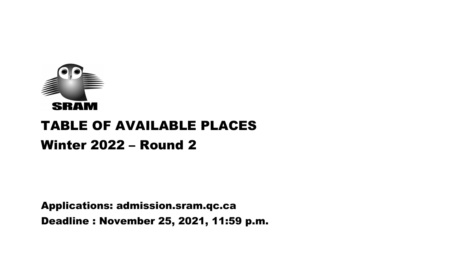

# TABLE OF AVAILABLE PLACES Winter 2022 – Round 2

Applications: admission.sram.qc.ca Deadline : November 25, 2021, 11:59 p.m.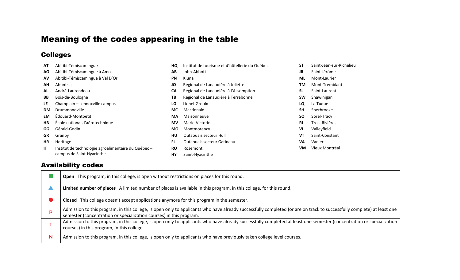# Meaning of the codes appearing in the table

## Colleges

| AT        | Abitibi-Témiscamingue                               | HQ        | Institut de tourisme et d'hôtellerie du Québec | <b>ST</b> | Saint-Jean-sur-Richelieu |
|-----------|-----------------------------------------------------|-----------|------------------------------------------------|-----------|--------------------------|
| AO.       | Abitibi-Témiscamingue à Amos                        | AB        | John-Abbott                                    | <b>JR</b> | Saint-Jérôme             |
| AV        | Abitibi-Témiscamingue à Val D'Or                    | <b>PN</b> | Kiuna                                          | ML        | Mont-Laurier             |
| AH        | Ahuntsic                                            | JO        | Régional de Lanaudière à Joliette              | ΤM        | Mont-Tremblant           |
| AL        | André-Laurendeau                                    | <b>CA</b> | Régional de Lanaudière à l'Assomption          | <b>SL</b> | Saint-Laurent            |
| BB        | Bois-de-Boulogne                                    | TВ        | Régional de Lanaudière à Terrebonne            | <b>SW</b> | Shawinigan               |
| LE        | Champlain - Lennoxville campus                      | LG        | Lionel-Groulx                                  | LQ        | La Tuque                 |
| <b>DM</b> | Drummondville                                       | MC.       | Macdonald                                      | <b>SH</b> | Sherbrooke               |
| <b>EM</b> | Édouard-Montpetit                                   | MA        | Maisonneuve                                    | <b>SO</b> | Sorel-Tracy              |
| HB        | École national d'aérotechnique                      | <b>MV</b> | Marie-Victorin                                 | <b>RI</b> | Trois-Rivières           |
| GG        | Gérald-Godin                                        | MO.       | Montmorency                                    | VL        | Valleyfield              |
| <b>GR</b> | Granby                                              | HU        | Outaouais secteur Hull                         | VT        | Saint-Constant           |
| <b>HR</b> | Heritage                                            | FL.       | Outaouais secteur Gatineau                     | <b>VA</b> | Vanier                   |
| <b>IT</b> | Institut de technologie agroalimentaire du Québec - | <b>RO</b> | Rosemont                                       | <b>VM</b> | Vieux Montréal           |
|           | campus de Saint-Hyacinthe                           | <b>HY</b> | Saint-Hyacinthe                                |           |                          |

## Availability codes

|   | Open This program, in this college, is open without restrictions on places for this round.                                                                                                                                                    |
|---|-----------------------------------------------------------------------------------------------------------------------------------------------------------------------------------------------------------------------------------------------|
|   | Limited number of places A limited number of places is available in this program, in this college, for this round.                                                                                                                            |
|   | Closed This college doesn't accept applications anymore for this program in the semester.                                                                                                                                                     |
| D | Admission to this program, in this college, is open only to applicants who have already successfully completed (or are on track to successfully complete) at least one<br>semester (concentration or specialization courses) in this program. |
|   | Admission to this program, in this college, is open only to applicants who have already successfully completed at least one semester (concentration or specialization<br>courses) in this program, in this college.                           |
| N | Admission to this program, in this college, is open only to applicants who have previously taken college level courses.                                                                                                                       |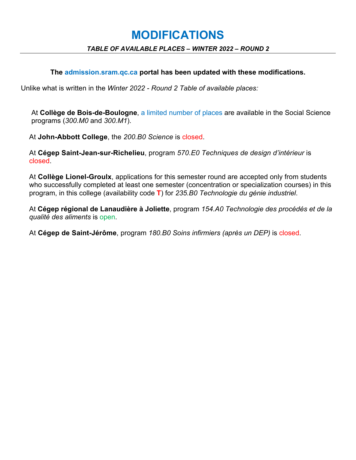## **MODIFICATIONS**

#### *TABLE OF AVAILABLE PLACES – WINTER 2022 – ROUND 2*

#### **The admission.sram.qc.ca portal has been updated with these modifications.**

Unlike what is written in the *Winter 2022 - Round 2 Table of available places:*

At **Collège de Bois-de-Boulogne**, a limited number of places are available in the Social Science programs (*300.M0* and *300.M1*).

At **John-Abbott College**, the *200.B0 Science* is closed.

At **Cégep Saint-Jean-sur-Richelieu**, program *570.E0 Techniques de design d'intérieur* is closed.

At **Collège Lionel-Groulx**, applications for this semester round are accepted only from students who successfully completed at least one semester (concentration or specialization courses) in this program, in this college (availability code **T**) for *235.B0 Technologie du génie industriel*.

At **Cégep régional de Lanaudière à Joliette**, program *154.A0 Technologie des procédés et de la qualité des aliments* is open.

At **Cégep de Saint-Jérôme**, program *180.B0 Soins infirmiers (après un DEP)* is closed.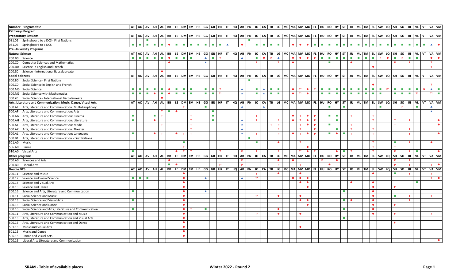| Number Program title                                          |                                                                                                                       |                             |                             |                             |                             |                             |                   |                                                             |                              |                             |                             | AT AO AV AH AL BB LE DM EM HB GG GR HR IT HQ AB PN JO CA TB LG MC MA MV MO FL HU RO HY ST JR ML TM SL SW LQ SH SO RIVU VT VA VM |                  |                             |                   |          |                                 |                        |                     |                            |                              |                                                            |                |                             |                |                             |                             |                            |                 |                                               |                             |                                                                                                                                                                                                                                      |              |                                                                                                                 |                             |
|---------------------------------------------------------------|-----------------------------------------------------------------------------------------------------------------------|-----------------------------|-----------------------------|-----------------------------|-----------------------------|-----------------------------|-------------------|-------------------------------------------------------------|------------------------------|-----------------------------|-----------------------------|---------------------------------------------------------------------------------------------------------------------------------|------------------|-----------------------------|-------------------|----------|---------------------------------|------------------------|---------------------|----------------------------|------------------------------|------------------------------------------------------------|----------------|-----------------------------|----------------|-----------------------------|-----------------------------|----------------------------|-----------------|-----------------------------------------------|-----------------------------|--------------------------------------------------------------------------------------------------------------------------------------------------------------------------------------------------------------------------------------|--------------|-----------------------------------------------------------------------------------------------------------------|-----------------------------|
| <b>Pathways Program</b>                                       |                                                                                                                       |                             |                             |                             |                             |                             |                   |                                                             |                              |                             |                             |                                                                                                                                 |                  |                             |                   |          |                                 |                        |                     |                            |                              |                                                            |                |                             |                |                             |                             |                            |                 |                                               |                             |                                                                                                                                                                                                                                      |              |                                                                                                                 |                             |
| <b>Preparatory Sessions</b>                                   |                                                                                                                       |                             |                             |                             |                             |                             |                   |                                                             |                              |                             |                             | AT AO AV AH AL BB LE DM EM HB GG GR HR IT HQ AB PN JO CA TB LG MC MA MV MO FL HU RO HY ST JR ML TM SL SW LQ SH SO RIVU VT VA VM |                  |                             |                   |          |                                 |                        |                     |                            |                              |                                                            |                |                             |                |                             |                             |                            |                 |                                               |                             |                                                                                                                                                                                                                                      |              |                                                                                                                 |                             |
| 081.05 Springboard to a DCS - First Nations                   |                                                                                                                       |                             |                             |                             |                             |                             |                   |                                                             |                              |                             |                             |                                                                                                                                 |                  | $\mathcal{L}_{\mathcal{A}}$ |                   |          |                                 |                        |                     |                            |                              |                                                            |                |                             |                |                             |                             |                            |                 |                                               |                             |                                                                                                                                                                                                                                      |              |                                                                                                                 |                             |
| 081.06 Springboard to a DCS                                   | <b>The Contract of the Contract of the Contract of the Contract of the Contract of the Contract of the Contract o</b> | $\mathcal{L}_{\text{max}}$  | a a d                       |                             | $\mathcal{L}_{\rm{max}}$    | $\bullet$                   | <b>Tallet</b>     | $\mathcal{L}_{\text{max}}$<br><b>College</b>                | $\mathcal{L}_{\mathrm{max}}$ | $\mathcal{L}_{\mathcal{A}}$ | $\mathcal{L}_{\mathcal{A}}$ | <b>College</b><br>$\blacktriangle$                                                                                              | $\bullet$        |                             | <b>The Common</b> |          | <b>Barbara</b>                  | $\bullet$<br>$\bullet$ | $\bullet$           | $\mathcal{M}(\mathcal{A})$ | <b>The State</b>             | <b>Contract Contract</b>                                   | $\sim$         | <b>The State</b>            | $\sim 100$     | $\mathcal{L}_{\mathcal{A}}$ | <b>College</b>              | $\mathcal{L}^{\text{max}}$ | <b>Contract</b> | $\mathcal{L}_{\mathcal{A}}$<br><b>College</b> |                             |                                                                                                                                                                                                                                      | $\mathbf{r}$ | $\blacktriangle$                                                                                                |                             |
| <b>Pre-University Programs</b>                                |                                                                                                                       |                             |                             |                             |                             |                             |                   |                                                             |                              |                             |                             |                                                                                                                                 |                  |                             |                   |          |                                 |                        |                     |                            |                              |                                                            |                |                             |                |                             |                             |                            |                 |                                               |                             |                                                                                                                                                                                                                                      |              |                                                                                                                 |                             |
| <b>Natural Science</b>                                        |                                                                                                                       |                             | AT AO AVAH AL BB            |                             |                             |                             |                   |                                                             |                              |                             |                             | LE DM EM HB GG GR HR IT HQ AB PN JO CA TB LG MC MA MV MO FL HU RO HY ST JR ML TM SL SW                                          |                  |                             |                   |          |                                 |                        |                     |                            |                              |                                                            |                |                             |                |                             |                             |                            |                 |                                               |                             |                                                                                                                                                                                                                                      |              | ILO ISH ISO IRI VL IVT IVA IVM I                                                                                |                             |
| 200.B0 Science                                                |                                                                                                                       | <b>The</b>                  | $\mathcal{L}_{\rm{max}}$    | $\mathcal{L}_{\mathcal{A}}$ | $\mathcal{L}_{\mathcal{A}}$ | $\bullet$                   | <b>Contractor</b> | $\mathcal{L}_{\mathrm{eff}}$<br>$\mathcal{L}_{\mathcal{A}}$ |                              | $\blacktriangle$            | $\mathcal{L}_{\mathcal{A}}$ |                                                                                                                                 | $\blacktriangle$ | <b>Contractor</b>           | $\bullet$         | <b>P</b> | $\blacktriangle$                | $\bullet$<br>$\bullet$ | $\bullet$           | <b>P</b>                   | <b>COL</b>                   | $\mathcal{L}_{\mathcal{A}}$<br>$\mathcal{L}_{\mathcal{A}}$ | <b>COL</b>     | $\mathcal{L}_{\mathcal{A}}$ |                | $\mathcal{L}_{\mathcal{A}}$ | $\mathcal{L}_{\mathcal{A}}$ | <b>P</b>                   |                 | <b>COL</b>                                    | $\mathbf{r}$                |                                                                                                                                                                                                                                      |              |                                                                                                                 | $\bullet$                   |
| 200.CO Computer Sciences and Mathematics                      |                                                                                                                       |                             |                             |                             |                             | $\bullet$                   |                   |                                                             |                              | $\blacktriangle$            |                             |                                                                                                                                 |                  | T                           |                   |          | T                               | $\bullet$              |                     |                            |                              | <b>The State</b>                                           |                | $\bullet$                   |                |                             |                             |                            |                 |                                               | $\mathbf{T}$                |                                                                                                                                                                                                                                      |              | T                                                                                                               |                             |
| 200.D0 Science in English and French                          |                                                                                                                       |                             |                             |                             |                             |                             |                   |                                                             |                              |                             |                             |                                                                                                                                 |                  |                             |                   |          |                                 |                        |                     |                            |                              |                                                            |                |                             |                |                             | $\bullet$                   |                            |                 |                                               |                             |                                                                                                                                                                                                                                      |              | T                                                                                                               |                             |
| 200.Z0 Science - International Baccalaureate                  |                                                                                                                       |                             |                             |                             |                             |                             |                   |                                                             |                              |                             |                             |                                                                                                                                 |                  |                             |                   |          |                                 |                        |                     |                            |                              |                                                            |                |                             |                |                             |                             |                            |                 |                                               |                             |                                                                                                                                                                                                                                      |              |                                                                                                                 |                             |
| <b>Social Sciences</b>                                        |                                                                                                                       |                             |                             |                             |                             |                             |                   |                                                             |                              |                             |                             | AT AO AV AH AL BB LE DM EM HB GG GR HR IT HQ AB PN JO CA TB LG MC MA MV MO FL HU RO HY ST JR ML TM SL SW LQ SH SO RIVU VT VA VM |                  |                             |                   |          |                                 |                        |                     |                            |                              |                                                            |                |                             |                |                             |                             |                            |                 |                                               |                             |                                                                                                                                                                                                                                      |              |                                                                                                                 |                             |
| 300.B0 Social Science - First Nations                         |                                                                                                                       |                             |                             |                             |                             |                             |                   |                                                             |                              |                             |                             |                                                                                                                                 |                  | <b>The State</b>            |                   |          |                                 |                        |                     |                            |                              |                                                            |                |                             |                |                             |                             |                            |                 |                                               |                             |                                                                                                                                                                                                                                      |              |                                                                                                                 |                             |
| Social Science in English and French<br>300.CO                |                                                                                                                       |                             |                             |                             |                             |                             |                   |                                                             |                              |                             |                             |                                                                                                                                 |                  |                             |                   |          |                                 |                        |                     |                            |                              |                                                            |                |                             |                |                             |                             |                            |                 |                                               |                             |                                                                                                                                                                                                                                      |              |                                                                                                                 |                             |
| 300.M0 Social Science                                         | $\mathbb{R}^n$                                                                                                        | $\mathcal{L}_{\mathcal{A}}$ | $\mathcal{H}^{\mathcal{A}}$ | $\mathcal{L}_{\mathcal{A}}$ | a a s                       | $\bullet$                   | a a s             | a a d<br>$\sim$                                             |                              | $\sim$                      | $\mathcal{L}_{\mathcal{A}}$ | T                                                                                                                               | $\blacktriangle$ |                             | $\blacksquare$    |          | <b>The Contract of Contract</b> | $\bullet$<br>$T^*$     | $\bullet$           | $P^*$                      | $\mathcal{L}_{\mathrm{max}}$ | <b>Contract Contract</b>                                   | $\sim 100$     | $\mathcal{L}_{\mathcal{A}}$ | <b>College</b> | <b>The</b>                  | $\sim 10$                   | $\sim$                     | $P^*$           | .                                             |                             |                                                                                                                                                                                                                                      | N            | $\begin{array}{c c c c c} \hline \multicolumn{1}{c }{\mathbf{A}} & \multicolumn{1}{c }{\mathbf{B}} \end{array}$ |                             |
| 300.M1 Social Science with Mathematics                        | $\mathcal{L}_{\mathcal{A}}$                                                                                           | $\mathcal{L}_{\mathcal{A}}$ | $\mathbf{H}$                | $\bullet$                   | <b>E</b> I                  | $\bullet$                   | a a s             | $\blacksquare$<br>$\sim$                                    |                              |                             | $\mathcal{L}_{\mathcal{A}}$ | $T^*$                                                                                                                           | $\blacktriangle$ | a a s                       | $\blacktriangle$  |          | and the state                   | $\bullet$<br>$T^*$     | $\bullet$           |                            | $\mathcal{L}_{\mathcal{A}}$  | <b>Billian Bar</b>                                         | $\sim$         | $\mathcal{L}_{\mathcal{A}}$ | <b>COL</b>     | $\mathcal{L}_{\mathcal{A}}$ | <b>A</b>                    | $\sim$                     |                 | $\mathcal{L}_{\mathcal{A}}$<br><b>College</b> | $\mathcal{L}_{\mathcal{A}}$ | $T^*$                                                                                                                                                                                                                                |              | $T^*$                                                                                                           | $\mathcal{L}_{\mathcal{A}}$ |
| 300.Z0 Social Science - International Baccalaureate           |                                                                                                                       |                             |                             |                             |                             |                             |                   |                                                             |                              |                             |                             |                                                                                                                                 |                  |                             |                   |          |                                 |                        |                     |                            |                              |                                                            |                |                             |                |                             |                             |                            |                 |                                               |                             |                                                                                                                                                                                                                                      |              |                                                                                                                 |                             |
| Arts, Literature and Communication, Music, Dance, Visual Arts |                                                                                                                       |                             |                             |                             |                             |                             |                   |                                                             |                              |                             |                             | AT AO AV AH AL BB LE DM EM HB GG GR HR IT HQ AB PN JO CA TB LG MC MA MV MO FL HU RO HY ST JR ML TM SL SW LQ SH SO RIVU VT VA VM |                  |                             |                   |          |                                 |                        |                     |                            |                              |                                                            |                |                             |                |                             |                             |                            |                 |                                               |                             |                                                                                                                                                                                                                                      |              |                                                                                                                 |                             |
| 500.AE Arts, Literature and Communication: Multidisciplinary  |                                                                                                                       |                             |                             |                             |                             |                             |                   |                                                             |                              |                             |                             |                                                                                                                                 | $\blacktriangle$ |                             | $\blacktriangle$  |          |                                 |                        |                     |                            | <b>COL</b>                   |                                                            |                |                             |                |                             |                             |                            |                 |                                               |                             |                                                                                                                                                                                                                                      |              |                                                                                                                 |                             |
| 500.AF Arts, Literature and Communication: Arts               |                                                                                                                       |                             |                             |                             | T                           | $\blacksquare$              |                   |                                                             |                              |                             | $\mathcal{L}_{\mathcal{A}}$ |                                                                                                                                 |                  |                             |                   |          |                                 |                        |                     |                            |                              |                                                            |                |                             |                |                             |                             |                            |                 |                                               |                             |                                                                                                                                                                                                                                      |              | $\blacktriangle$                                                                                                |                             |
| 500.AG Arts, Literature and Communication: Cinema             | <b>The Co</b>                                                                                                         |                             |                             | $\mathcal{L}_{\rm{max}}$    | T                           |                             |                   | T.                                                          |                              |                             | <b>COL</b>                  |                                                                                                                                 |                  |                             |                   |          |                                 | $\bullet$<br>T         | $\bullet$           | $\mathbf{P}$               |                              | <b>Contract Contract Contract</b>                          |                | T                           |                |                             |                             |                            |                 |                                               |                             |                                                                                                                                                                                                                                      |              |                                                                                                                 |                             |
| 500.AH Arts, Literature and Communication: Literature         | <b>Includes</b>                                                                                                       |                             |                             | $\bullet$                   |                             |                             |                   | $\mathbf{T}$                                                |                              |                             | <b>COL</b>                  |                                                                                                                                 | $\blacktriangle$ |                             |                   |          | $\mathsf{P}$                    | $\bullet$<br>T         | $\bullet$           | P                          |                              | <b>In</b>                                                  |                |                             |                |                             |                             |                            |                 | $\mathbf{T}$                                  | T                           |                                                                                                                                                                                                                                      |              |                                                                                                                 | $\bullet$                   |
| 500.AJ Arts, Literature and Communication: Media              |                                                                                                                       |                             |                             |                             | T                           |                             |                   | $\mathbf{T}$                                                |                              |                             |                             |                                                                                                                                 | $\blacktriangle$ |                             |                   |          | $\mathsf{P}$                    | T                      | $\bullet$           | $\mathsf{P}$               |                              | $\mathbf{r}$                                               |                | T                           |                |                             |                             |                            |                 | $\mathbf{T}$                                  |                             |                                                                                                                                                                                                                                      |              |                                                                                                                 | $\bullet$                   |
| 500.AK Arts, Literature and Communication: Theater            |                                                                                                                       |                             |                             |                             |                             |                             |                   | $\top$                                                      |                              |                             |                             |                                                                                                                                 | $\blacktriangle$ |                             |                   |          | $\mathsf{P}$                    | T.                     |                     |                            |                              | <b>Ta</b>                                                  |                | T                           |                |                             | $\mathbf{T}$                |                            |                 |                                               | $\mathbf{T}$                |                                                                                                                                                                                                                                      |              |                                                                                                                 |                             |
| Arts, Literature and Communication: Languages<br>500.AL       | <b>The Co</b>                                                                                                         |                             |                             | $\bullet$                   | T                           |                             | $\bullet$         | T<br>$\top$                                                 |                              |                             |                             |                                                                                                                                 | $\blacktriangle$ |                             |                   |          | P.                              | $\bullet$<br>T         | $\bullet$           | $\mathbf{P}$               |                              | $\blacksquare$                                             | $\sim 100$     | $\mathbf T$                 |                |                             | $\mathbf{T}$                |                            |                 | $\mathbf{T}$                                  | $\mathbf{T}$                |                                                                                                                                                                                                                                      |              |                                                                                                                 | $\bullet$                   |
| 500.B1 Arts, Literature and Communication - First Nations     |                                                                                                                       |                             |                             |                             |                             |                             |                   |                                                             |                              |                             |                             |                                                                                                                                 |                  | $\mathcal{L}_{\mathcal{A}}$ |                   |          |                                 |                        |                     |                            |                              |                                                            |                |                             |                |                             |                             |                            |                 |                                               |                             |                                                                                                                                                                                                                                      |              |                                                                                                                 |                             |
| 501.A0 Music                                                  |                                                                                                                       |                             |                             |                             |                             |                             |                   | $\mathcal{L}_{\mathcal{A}}$                                 |                              |                             |                             |                                                                                                                                 |                  | $\mathcal{L}_{\mathcal{A}}$ |                   |          | $\bullet$                       | T                      |                     |                            |                              |                                                            |                |                             |                |                             |                             |                            |                 | $\mathcal{L}_{\mathcal{A}}$                   | $\mathbf{T}$                |                                                                                                                                                                                                                                      |              | $\bullet$                                                                                                       |                             |
| 506.A0 Dance                                                  |                                                                                                                       |                             |                             |                             |                             |                             |                   | $\top$                                                      |                              |                             |                             |                                                                                                                                 |                  |                             |                   |          |                                 |                        | $\bullet$           |                            |                              |                                                            |                |                             |                |                             | $\mathbf{T}$                |                            |                 | $\mathbf{T}$                                  |                             |                                                                                                                                                                                                                                      |              |                                                                                                                 |                             |
| 510.A0 Visual Arts                                            | <b>The Co</b>                                                                                                         |                             |                             |                             |                             |                             | $\bullet$         | T<br>$\mathbf{T}$                                           |                              |                             |                             |                                                                                                                                 |                  |                             |                   |          | P.                              | $T^*$                  | $\bullet$           | $P^*$                      |                              | $\bullet$                                                  | <b>COL</b>     | T                           |                |                             |                             |                            |                 |                                               | $\mathbf{T}$                | <b>The Contract of the Contract of the Contract of the Contract of the Contract of the Contract of The Contract of The Contract of The Contract of The Contract of The Contract of The Contract of The Contract of The Contract </b> |              |                                                                                                                 | $\bullet$                   |
| Other programs                                                |                                                                                                                       |                             |                             |                             |                             |                             |                   |                                                             |                              |                             |                             | AT AO AV AH AL BB LE DM EM HB GG GR HR IT HQ AB PN JO CA TB LG MC MA MV MO FL HU RO HY ST JR ML TM SL SW LQ SH SO RIVU VT VA VM |                  |                             |                   |          |                                 |                        |                     |                            |                              |                                                            |                |                             |                |                             |                             |                            |                 |                                               |                             |                                                                                                                                                                                                                                      |              |                                                                                                                 |                             |
| 700.A0 Sciences and Arts                                      |                                                                                                                       |                             |                             |                             |                             | $\bullet$                   |                   |                                                             |                              |                             |                             |                                                                                                                                 |                  |                             |                   |          | $\bullet$                       | $\bullet$              |                     |                            |                              | $\bullet$                                                  |                |                             |                |                             |                             |                            |                 |                                               |                             |                                                                                                                                                                                                                                      |              |                                                                                                                 |                             |
| 700.B0 Liberal Arts                                           |                                                                                                                       |                             |                             |                             |                             | $\mathcal{L}_{\mathcal{A}}$ | $\bullet$         |                                                             |                              |                             |                             |                                                                                                                                 | $\mathsf{P}$     |                             |                   |          | $\mathbf{P}$                    | $\mathbf{T}$           |                     |                            |                              | $\bullet$                                                  |                |                             |                |                             |                             |                            |                 |                                               |                             |                                                                                                                                                                                                                                      |              |                                                                                                                 | $\bullet$                   |
| <b>Double DCS</b>                                             |                                                                                                                       |                             |                             |                             |                             |                             |                   |                                                             |                              |                             |                             | AT AO AV AH AL BB LE DM EM HB GG GR HR IT HQ AB PN JO CA TB LG MC MA MV MO FL HU RO HY ST JR ML TM SL SW LQ SH SO RIVU VT VA VM |                  |                             |                   |          |                                 |                        |                     |                            |                              |                                                            |                |                             |                |                             |                             |                            |                 |                                               |                             |                                                                                                                                                                                                                                      |              |                                                                                                                 |                             |
| 200.11 Science and Music                                      |                                                                                                                       |                             |                             |                             |                             |                             |                   | $\bullet$                                                   |                              |                             |                             |                                                                                                                                 |                  | T                           |                   |          | $\bullet$                       | $\bullet$              |                     |                            |                              |                                                            |                |                             |                |                             | $\bullet$                   |                            |                 | п.                                            | T.                          |                                                                                                                                                                                                                                      |              | T                                                                                                               |                             |
| 200.12 Science and Social Science                             |                                                                                                                       | .                           |                             |                             |                             |                             |                   | $\bullet$                                                   |                              | $\blacktriangle$            |                             |                                                                                                                                 | $\blacktriangle$ | $T^*$                       |                   |          |                                 | $\bullet$              | $\bullet$ $\bullet$ |                            |                              |                                                            |                |                             |                |                             |                             |                            |                 |                                               |                             |                                                                                                                                                                                                                                      |              | $T$ $\bullet$                                                                                                   |                             |
| 200.13 Science and Visual Arts                                |                                                                                                                       |                             |                             |                             |                             |                             |                   | $\bullet$                                                   |                              |                             |                             |                                                                                                                                 |                  |                             |                   |          |                                 | $\bullet$              | $\bullet$           |                            |                              |                                                            |                | $\bullet$                   |                |                             | $\bullet$                   |                            |                 |                                               |                             | $\mathcal{L}_{\mathcal{A}}$                                                                                                                                                                                                          |              |                                                                                                                 |                             |
| 200.15 Science and Dance                                      |                                                                                                                       |                             |                             |                             |                             |                             |                   | $\bullet$                                                   |                              |                             |                             |                                                                                                                                 |                  |                             |                   |          |                                 |                        | $\bullet$           |                            |                              |                                                            |                |                             |                |                             | $\bullet$                   |                            |                 | $T^*$                                         |                             |                                                                                                                                                                                                                                      |              |                                                                                                                 |                             |
| 200.16 Science and Arts, Literature and Communication         | <b>The Co</b>                                                                                                         |                             |                             |                             |                             |                             |                   | $\bullet$                                                   |                              | $\blacktriangle$            |                             |                                                                                                                                 |                  |                             |                   |          |                                 |                        |                     |                            |                              |                                                            | ٠              |                             |                |                             | $\bullet$                   |                            |                 |                                               |                             |                                                                                                                                                                                                                                      |              |                                                                                                                 |                             |
| Social Science and Music<br>300.11                            |                                                                                                                       |                             |                             |                             |                             |                             |                   | $\bullet$                                                   |                              |                             |                             |                                                                                                                                 |                  | $T^*$                       |                   |          | $\bullet$                       | $\bullet$              |                     |                            |                              |                                                            |                |                             |                |                             | $\bullet$                   |                            |                 | $\mathcal{L}_{\mathcal{A}}$                   | T                           |                                                                                                                                                                                                                                      |              | T                                                                                                               |                             |
| 300.13 Social Science and Visual Arts                         | <b>Includes</b>                                                                                                       |                             |                             |                             |                             |                             |                   | $\bullet$                                                   |                              |                             |                             |                                                                                                                                 |                  |                             |                   |          |                                 | $\bullet$              | $\bullet$           |                            |                              |                                                            | $\blacksquare$ | $\bullet$                   |                |                             | $\bullet$                   |                            |                 |                                               | $\mathbf{T}$                |                                                                                                                                                                                                                                      |              |                                                                                                                 |                             |
| Social Science and Dance<br>300.15                            |                                                                                                                       |                             |                             |                             |                             |                             |                   | $\bullet$                                                   |                              |                             |                             |                                                                                                                                 |                  |                             |                   |          |                                 |                        | $\bullet$           |                            |                              |                                                            |                |                             |                |                             | $\bullet$                   |                            |                 | $T^*$                                         |                             |                                                                                                                                                                                                                                      |              |                                                                                                                 |                             |
| 300.16 Social Science and Arts, Literature and Communication  | <b>Includes</b>                                                                                                       |                             |                             |                             |                             |                             |                   | $\bullet$<br>T                                              |                              | $\mathcal{L}_{\mathcal{A}}$ |                             |                                                                                                                                 |                  |                             |                   |          | $\bullet$                       |                        |                     |                            |                              |                                                            | ш              |                             |                |                             | $\bullet$                   |                            |                 |                                               |                             |                                                                                                                                                                                                                                      |              |                                                                                                                 |                             |
| 500.11 Arts, Literature and Communication and Music           |                                                                                                                       |                             |                             |                             |                             |                             |                   | $\bullet$                                                   |                              |                             |                             |                                                                                                                                 |                  | $T^*$                       |                   |          | $\bullet$                       | $\bullet$              |                     |                            |                              |                                                            |                |                             |                |                             | $\bullet$                   |                            |                 | $T^*$                                         |                             |                                                                                                                                                                                                                                      |              | T                                                                                                               |                             |
| 500.13 Arts, Literature and Communication and Visual Arts     |                                                                                                                       |                             |                             |                             |                             |                             |                   | $\bullet$                                                   |                              |                             |                             |                                                                                                                                 |                  |                             |                   |          |                                 |                        |                     |                            |                              |                                                            | ×              |                             |                |                             |                             |                            |                 |                                               |                             |                                                                                                                                                                                                                                      |              |                                                                                                                 |                             |
| Arts, Literature and Communication and Dance<br>500.15        |                                                                                                                       |                             |                             |                             |                             |                             |                   | $\bullet$                                                   |                              |                             |                             |                                                                                                                                 |                  |                             |                   |          |                                 |                        |                     |                            |                              |                                                            |                |                             |                |                             |                             |                            |                 | $T^*$                                         |                             |                                                                                                                                                                                                                                      |              |                                                                                                                 |                             |
| 501.13 Music and Visual Arts                                  |                                                                                                                       |                             |                             |                             |                             |                             |                   | $\bullet$                                                   |                              |                             |                             |                                                                                                                                 |                  |                             |                   |          |                                 | $\bullet$              |                     |                            |                              |                                                            |                |                             |                |                             |                             |                            |                 |                                               |                             |                                                                                                                                                                                                                                      |              |                                                                                                                 |                             |
| 501.15 Music and Dance                                        |                                                                                                                       |                             |                             |                             |                             |                             |                   | $\bullet$                                                   |                              |                             |                             |                                                                                                                                 |                  |                             |                   |          |                                 |                        |                     |                            |                              |                                                            |                |                             |                |                             |                             |                            |                 |                                               |                             |                                                                                                                                                                                                                                      |              |                                                                                                                 |                             |
| 506.13<br>Dance and Visual Arts                               |                                                                                                                       |                             |                             |                             |                             |                             |                   | $\bullet$                                                   |                              |                             |                             |                                                                                                                                 |                  |                             |                   |          |                                 |                        |                     |                            |                              |                                                            |                |                             |                |                             |                             |                            |                 |                                               |                             |                                                                                                                                                                                                                                      |              |                                                                                                                 |                             |
| 700.16   Liberal Arts Literature and Communication            |                                                                                                                       |                             |                             |                             |                             |                             |                   |                                                             |                              |                             |                             |                                                                                                                                 |                  |                             |                   |          |                                 |                        |                     |                            |                              |                                                            |                |                             |                |                             |                             |                            |                 |                                               |                             |                                                                                                                                                                                                                                      |              |                                                                                                                 | $\bullet$                   |
|                                                               |                                                                                                                       |                             |                             |                             |                             |                             |                   |                                                             |                              |                             |                             |                                                                                                                                 |                  |                             |                   |          |                                 |                        |                     |                            |                              |                                                            |                |                             |                |                             |                             |                            |                 |                                               |                             |                                                                                                                                                                                                                                      |              |                                                                                                                 |                             |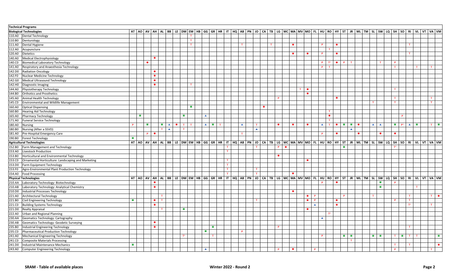| <b>Technical Programs</b>                                                          |                             |                             |           |                             |                  |           |                             |                             |                  |                             |                                                                                                                                 |                  |                  |           |             |                 |           |   |           |                  |                  |                    |                  |                             |           |              |                                      |                             |                            |                                                  |             |                             |
|------------------------------------------------------------------------------------|-----------------------------|-----------------------------|-----------|-----------------------------|------------------|-----------|-----------------------------|-----------------------------|------------------|-----------------------------|---------------------------------------------------------------------------------------------------------------------------------|------------------|------------------|-----------|-------------|-----------------|-----------|---|-----------|------------------|------------------|--------------------|------------------|-----------------------------|-----------|--------------|--------------------------------------|-----------------------------|----------------------------|--------------------------------------------------|-------------|-----------------------------|
| <b>Biological Technologies</b>                                                     |                             |                             |           |                             |                  |           |                             |                             |                  |                             | AT AO AV AH AL BB LE DM EM HB GG GR HR IT HQ AB PN JO CA TB LG MC MA MV MO FL HU RO HY ST JR ML TM SL SW LQ SH SO RIVL VT VA VM |                  |                  |           |             |                 |           |   |           |                  |                  |                    |                  |                             |           |              |                                      |                             |                            |                                                  |             |                             |
| 110.A0 Dental Technology                                                           |                             |                             |           |                             |                  |           |                             | $\mathbf{T}$                |                  |                             |                                                                                                                                 |                  |                  |           |             |                 |           |   |           |                  |                  |                    |                  |                             |           |              |                                      |                             |                            |                                                  |             |                             |
| 110.B0 Denturology                                                                 |                             |                             |           |                             |                  |           |                             | $\mathbf{T}$                |                  |                             |                                                                                                                                 |                  |                  |           |             |                 |           |   |           |                  |                  |                    |                  |                             |           |              |                                      |                             |                            |                                                  |             |                             |
| 111.A0 Dental Hygiene                                                              |                             |                             |           |                             |                  |           |                             | T                           |                  |                             |                                                                                                                                 | T                |                  |           | $\mathbf T$ |                 | $\bullet$ |   |           |                  | P                | $\bullet$          |                  |                             |           |              |                                      |                             |                            | $\mathbf T$                                      |             |                             |
| 112.A0 Acupuncture                                                                 |                             |                             |           |                             |                  |           |                             |                             |                  |                             |                                                                                                                                 |                  |                  |           |             |                 |           |   |           |                  | $\mathbf \tau$   |                    |                  |                             |           |              |                                      |                             |                            |                                                  |             |                             |
| 120.A0<br>Dietetics                                                                |                             |                             |           |                             |                  |           |                             |                             |                  |                             |                                                                                                                                 |                  |                  |           |             |                 | $\bullet$ |   | $\bullet$ |                  | P.               | $\bullet$          |                  |                             |           |              |                                      |                             |                            | T.                                               |             |                             |
| Medical Electrophysiology<br>140.A0                                                |                             |                             | $\bullet$ |                             |                  |           |                             |                             |                  |                             |                                                                                                                                 |                  |                  |           |             |                 |           |   |           |                  |                  |                    |                  |                             |           |              |                                      |                             |                            |                                                  |             |                             |
| 140.CO<br>Biomedical Laboratory Technology                                         |                             | $\bullet$                   |           |                             |                  |           |                             |                             |                  |                             |                                                                                                                                 |                  |                  |           |             |                 |           |   |           |                  | P.               | $\bullet$<br>$T^*$ | P                | $\mathbf{T}$                |           |              | T                                    | P                           |                            |                                                  |             |                             |
| 141.A0<br>Respiratory and Anaesthesia Technology                                   |                             |                             |           |                             |                  |           |                             |                             |                  |                             |                                                                                                                                 |                  |                  |           |             |                 |           |   |           |                  | P<br>$\top$      |                    |                  |                             |           |              |                                      | $\mathbf T$                 |                            | T                                                | T           |                             |
| 142.DO<br><b>Radiation Oncology</b>                                                |                             |                             | $\bullet$ |                             |                  |           |                             |                             |                  |                             |                                                                                                                                 |                  |                  |           |             |                 |           |   |           |                  |                  |                    |                  |                             |           |              |                                      |                             |                            |                                                  |             |                             |
| Nuclear Medicine Technology<br>142.FO                                              |                             |                             | $\bullet$ |                             |                  |           |                             |                             |                  |                             |                                                                                                                                 |                  |                  |           |             |                 |           |   |           |                  |                  |                    |                  |                             |           |              |                                      |                             |                            |                                                  |             |                             |
| Medical Ultrasound Technology<br>142.GO                                            |                             |                             | $\bullet$ |                             |                  |           |                             |                             |                  |                             |                                                                                                                                 |                  |                  |           |             |                 |           |   |           |                  |                  |                    |                  |                             |           |              |                                      |                             |                            |                                                  |             |                             |
| Diagnostic Imaging<br>142.HO                                                       |                             |                             | $\bullet$ |                             |                  |           |                             | $\mathbf{T}$                |                  |                             |                                                                                                                                 |                  |                  |           |             |                 |           |   |           |                  |                  |                    |                  |                             |           |              |                                      |                             |                            |                                                  |             |                             |
| 144.A0 Physiotherapy Technology                                                    |                             |                             |           |                             |                  |           |                             |                             |                  |                             |                                                                                                                                 |                  |                  |           |             |                 |           | T | $\bullet$ |                  |                  |                    |                  |                             |           |              |                                      | T                           |                            |                                                  |             |                             |
| <b>Orthotics and Prosthetics</b><br>144.B0                                         |                             |                             |           |                             |                  |           |                             |                             |                  |                             |                                                                                                                                 |                  |                  |           |             |                 |           |   | $\bullet$ |                  |                  |                    |                  |                             |           |              |                                      |                             |                            |                                                  |             |                             |
| Animal Health Technology<br>145.A0                                                 |                             |                             |           |                             |                  |           |                             |                             |                  |                             |                                                                                                                                 |                  |                  |           |             | P               |           |   |           |                  |                  | $\bullet$          |                  |                             |           |              |                                      | T                           |                            |                                                  | T           |                             |
| Environmental and Wildlife Management<br>145.CO                                    |                             |                             |           |                             |                  |           |                             |                             |                  |                             |                                                                                                                                 |                  |                  |           |             |                 |           |   |           |                  |                  |                    |                  |                             |           | $\mathbf{T}$ |                                      | $\mathbf T$                 |                            |                                                  | $\mathbf T$ |                             |
| 160.A0 Optical Dispensing                                                          |                             |                             |           |                             |                  |           |                             | $\mathcal{L}_{\mathcal{A}}$ |                  |                             |                                                                                                                                 |                  |                  | $\bullet$ |             |                 |           |   |           |                  |                  |                    |                  |                             |           |              |                                      |                             |                            |                                                  |             |                             |
| <b>Hearing Aid Technology</b><br>160.B0                                            |                             |                             |           |                             |                  |           |                             |                             |                  |                             |                                                                                                                                 |                  |                  |           |             |                 |           |   |           |                  | T                |                    |                  |                             |           |              |                                      |                             |                            |                                                  |             |                             |
| 165.A0 Pharmacy Technology                                                         |                             | $\mathcal{L}_{\mathcal{A}}$ |           |                             |                  |           | $\mathcal{L}_{\mathcal{A}}$ |                             | $\blacktriangle$ |                             |                                                                                                                                 |                  |                  |           |             |                 |           |   |           |                  | $\bullet$        |                    |                  |                             |           |              |                                      |                             | P                          |                                                  |             |                             |
| 171.A0<br><b>Funeral Service Technology</b>                                        |                             |                             |           |                             |                  |           |                             |                             |                  |                             |                                                                                                                                 |                  |                  |           |             |                 |           |   |           |                  | $\mathbf{T}$     |                    |                  |                             |           |              |                                      |                             |                            |                                                  |             |                             |
| 180.A0 Nursing                                                                     | $\mathbf{P}$                | $\mathcal{L}_{\mathcal{A}}$ |           | $\mathcal{L}_{\mathcal{A}}$ | $\blacktriangle$ | $\bullet$ | T<br>T                      |                             | $\blacktriangle$ | $\mathcal{L}_{\rm{max}}$    | T                                                                                                                               | $\blacktriangle$ | $\mathbf{T}$     |           |             | $\bullet$       | $\bullet$ |   | $\bullet$ |                  | $\blacktriangle$ | T<br>$\bullet$     | $\sim 100$       | $\sim 10$                   | $\bullet$ |              | $\blacktriangle$<br>$\blacktriangle$ | $\mathcal{L}_{\mathcal{A}}$ | $P^*$                      | $\mathcal{L}_{\mathrm{max}}$<br>$\blacktriangle$ |             | $T$ $\blacksquare$          |
| Nursing (After a SSVD)<br>180.B0                                                   |                             |                             |           | $\mathbf{T}$                | $\blacktriangle$ |           | T                           |                             |                  |                             |                                                                                                                                 |                  | $\blacktriangle$ |           |             |                 |           |   |           |                  |                  |                    |                  | $\blacktriangle$            |           |              |                                      |                             |                            |                                                  |             |                             |
| 181.A0 Pre-Hospital Emergency Care                                                 |                             | P                           | $\bullet$ |                             |                  |           |                             |                             |                  |                             |                                                                                                                                 | T                |                  |           |             |                 |           |   |           |                  | P                | $\bullet$          |                  |                             | $\bullet$ |              | $\bullet$                            | $\bullet$                   |                            |                                                  |             |                             |
| 190.B0 Forest Technology                                                           | $\mathcal{L}_{\mathcal{A}}$ |                             |           |                             |                  |           |                             |                             |                  |                             |                                                                                                                                 |                  |                  |           |             |                 |           |   |           |                  |                  |                    |                  |                             |           |              |                                      |                             |                            |                                                  |             |                             |
| <b>Agricultural Technologies</b>                                                   |                             |                             |           |                             |                  |           |                             |                             |                  |                             | AT AO AV AH AL BB LE DM EM HB GG GR HR IT HQ AB PN JO CA TB LG MC MA MV MO FL HU RO HY ST JR ML TM SL SW LQ SH SO RIVL VT VA VM |                  |                  |           |             |                 |           |   |           |                  |                  |                    |                  |                             |           |              |                                      |                             |                            |                                                  |             |                             |
| 152.B0 Farm Management and Technology                                              |                             |                             |           |                             |                  |           |                             |                             |                  |                             | $\mathbf{T}$                                                                                                                    |                  | $\mathbf{T}$     |           |             | P.<br>$\bullet$ |           |   |           |                  |                  |                    | <b>The State</b> |                             |           |              |                                      | $T^*$                       |                            |                                                  |             |                             |
| Livestock Production<br>153.A0                                                     |                             |                             |           |                             |                  |           |                             |                             |                  |                             | $\mathbf{T}$                                                                                                                    |                  |                  |           |             |                 |           |   |           |                  |                  |                    |                  |                             |           |              |                                      |                             |                            |                                                  |             |                             |
| Horticultural and Environmental Technology<br>153.BO                               |                             |                             |           |                             |                  |           |                             |                             |                  |                             |                                                                                                                                 |                  |                  |           |             | $\bullet$       |           |   |           |                  |                  |                    |                  |                             |           |              |                                      |                             |                            |                                                  |             |                             |
| Ornamental Horticulture: Landscaping and Marketing<br>153.CO                       |                             |                             |           |                             |                  |           |                             |                             |                  |                             | $\mathbf{T}$                                                                                                                    |                  |                  |           |             |                 |           |   | $\bullet$ |                  |                  |                    |                  |                             |           |              |                                      |                             |                            |                                                  |             |                             |
| 153.D0 Farm Equipment Technology                                                   |                             |                             |           |                             |                  |           |                             |                             |                  |                             | $\mathbf{T}$                                                                                                                    |                  |                  |           |             |                 |           |   |           |                  |                  |                    |                  |                             |           |              |                                      |                             |                            |                                                  |             |                             |
|                                                                                    |                             |                             |           |                             |                  |           |                             |                             |                  |                             | T                                                                                                                               |                  | $\mathbf{T}$     |           |             |                 |           |   |           |                  |                  |                    |                  |                             |           |              |                                      |                             |                            |                                                  |             |                             |
| Agro-Environmental Plant Production Technology<br>153.FO<br>154.A0 Food Processing |                             |                             |           |                             |                  |           |                             |                             |                  |                             | $\mathbf{T}$                                                                                                                    |                  | $\mathbf{T}$     |           |             |                 | $\bullet$ |   |           |                  |                  |                    |                  |                             |           |              |                                      |                             |                            |                                                  |             |                             |
|                                                                                    |                             |                             |           |                             |                  |           |                             |                             |                  |                             |                                                                                                                                 |                  |                  |           |             |                 |           |   |           |                  |                  |                    |                  |                             |           |              |                                      |                             |                            |                                                  |             |                             |
| <b>Physical Technologies</b>                                                       |                             |                             | $\bullet$ |                             |                  |           |                             |                             |                  |                             | AT AO AV AH AL BB LE DM EM HB GG GR HR IT HQ AB PN JO CA TB LG MC MA MV MO FL HU RO HY ST JR ML TM SL SW LQ SH SO RIVL VT VA VM |                  |                  |           |             |                 |           |   |           |                  | P.               | $\bullet$          |                  |                             |           |              | $\overline{\phantom{a}}$             | P                           |                            |                                                  |             |                             |
| 210.AA Laboratory Technology: Biotechnology                                        |                             |                             | $\bullet$ |                             |                  |           |                             |                             |                  |                             |                                                                                                                                 |                  |                  |           |             |                 |           |   |           |                  |                  |                    |                  |                             |           |              | $\overline{\phantom{a}}$             |                             |                            | $\mathbf{T}$                                     |             |                             |
| 210.AB<br>Laboratory Technology: Analytical Chemistry                              |                             |                             |           |                             |                  |           |                             |                             |                  |                             |                                                                                                                                 |                  |                  |           |             |                 | $\bullet$ |   |           |                  |                  |                    |                  |                             |           |              |                                      |                             |                            |                                                  |             |                             |
| Industrial Processes Technology<br>210.DO                                          |                             |                             |           | $\mathbf{T}$                |                  |           |                             |                             |                  |                             |                                                                                                                                 |                  |                  |           |             |                 |           |   | $\bullet$ | $\mathbf{P}$     |                  |                    | $\mathbf{P}$     |                             |           |              |                                      |                             |                            | T                                                | $T$         | $\bullet$                   |
| 221.A0 Architectural Technology                                                    |                             |                             | $\bullet$ |                             |                  |           |                             |                             |                  |                             |                                                                                                                                 |                  | $\mathbf \tau$   |           |             |                 |           |   | $\bullet$ | $\mathbf{P}$     |                  | $\bullet$          |                  |                             |           |              |                                      |                             |                            | T                                                |             |                             |
| 221.BO<br>Civil Engineering Technology                                             | $\mathcal{L}_{\mathcal{A}}$ |                             | $\bullet$ | T                           |                  |           |                             |                             |                  |                             |                                                                                                                                 |                  |                  |           |             |                 |           |   |           |                  |                  |                    |                  |                             |           |              |                                      | <b>P</b>                    |                            |                                                  |             |                             |
| 221.CO<br><b>Building Systems Technology</b>                                       |                             |                             |           |                             |                  |           | $\sim$                      |                             |                  |                             |                                                                                                                                 |                  |                  |           |             |                 |           |   | $\bullet$ | $\blacktriangle$ |                  | $\bullet$          |                  |                             |           |              |                                      |                             |                            | $T^*$                                            | T           |                             |
| 221.DO<br><b>Realty Appraisal</b>                                                  |                             |                             |           | T                           |                  |           |                             |                             |                  |                             |                                                                                                                                 |                  |                  |           |             |                 |           |   |           |                  |                  |                    |                  |                             |           |              |                                      |                             |                            |                                                  |             |                             |
| Urban and Regional Planning<br>222.A0                                              |                             |                             |           |                             |                  |           |                             |                             |                  |                             |                                                                                                                                 |                  |                  |           |             |                 |           |   |           |                  | $T^*$            |                    |                  |                             |           |              |                                      |                             |                            |                                                  |             |                             |
| 230.AA<br>Geomatics Technology: Cartography                                        |                             |                             |           |                             |                  |           |                             |                             |                  |                             |                                                                                                                                 |                  |                  |           |             |                 |           |   |           |                  | $\blacktriangle$ |                    |                  |                             |           |              |                                      |                             |                            |                                                  |             |                             |
| Geomatics Technology: Geodetic Surveying<br>230.AB                                 |                             |                             | $\bullet$ |                             |                  |           |                             |                             |                  |                             |                                                                                                                                 |                  |                  |           |             |                 |           |   |           |                  |                  |                    |                  |                             |           |              |                                      |                             |                            |                                                  |             |                             |
| Industrial Engineering Technology<br>235.BO                                        |                             |                             | $\bullet$ |                             |                  |           |                             |                             |                  | $\mathcal{L}_{\mathcal{A}}$ |                                                                                                                                 |                  |                  |           |             | P               |           |   |           |                  |                  |                    |                  |                             |           |              |                                      |                             |                            | $\mathbf T$                                      |             |                             |
| Pharmaceutical Production Technology<br>235.CO                                     |                             |                             |           |                             |                  |           |                             |                             | <b>The State</b> |                             |                                                                                                                                 | $\mathbf{P}$     |                  |           |             |                 |           |   |           |                  |                  |                    |                  |                             |           |              |                                      |                             |                            |                                                  |             |                             |
| 241.A0 Mechanical Engineering Technology                                           |                             |                             |           |                             |                  |           | $T^*$                       |                             |                  |                             |                                                                                                                                 |                  |                  |           |             |                 |           |   |           |                  | P.               |                    | <b>Filter</b>    | $\mathcal{L}_{\mathcal{A}}$ |           |              | a ka                                 | $\mathbf T$                 | $\mathcal{L}^{\text{max}}$ | $\mathbf{T}$<br>$\mathbf{T}$                     |             | $\mathcal{L}_{\mathcal{A}}$ |
| <b>Composite Materials Processing</b><br>241.CO                                    |                             |                             |           |                             |                  |           |                             |                             |                  |                             |                                                                                                                                 |                  |                  |           |             |                 |           |   |           |                  |                  |                    |                  | T.                          |           |              |                                      |                             |                            |                                                  |             |                             |
| 241.DO<br>Industrial Maintenance Mechanics                                         | $\mathcal{L}_{\mathcal{A}}$ |                             |           |                             |                  |           |                             |                             |                  |                             |                                                                                                                                 |                  |                  |           |             |                 |           |   |           |                  |                  |                    |                  |                             |           |              |                                      | T.                          |                            | T.                                               |             | $\bullet$                   |
| 243.A0 Computer Engineering Technology                                             |                             |                             |           |                             |                  |           |                             |                             | $\blacktriangle$ |                             |                                                                                                                                 |                  |                  |           |             | P               | $\bullet$ |   |           | $\mathsf{P}$     |                  |                    |                  |                             |           |              |                                      | P.                          |                            |                                                  |             |                             |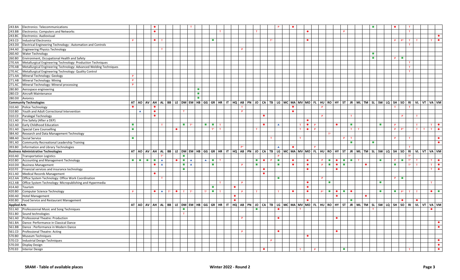| 243.BA<br>Electronics: Telecommunications                                   |                             |                                               | $\bullet$ |                  |                 |                             |                      |                              |                    |                             |             |           |    |                              |              | P.               | $\bullet$    |                |              |       |                                                                                                                       |           |                                          |                |                                                                                                                                  |                             | $\bullet$      |                             | $\mathbf{T}$            |             |                             |           |
|-----------------------------------------------------------------------------|-----------------------------|-----------------------------------------------|-----------|------------------|-----------------|-----------------------------|----------------------|------------------------------|--------------------|-----------------------------|-------------|-----------|----|------------------------------|--------------|------------------|--------------|----------------|--------------|-------|-----------------------------------------------------------------------------------------------------------------------|-----------|------------------------------------------|----------------|----------------------------------------------------------------------------------------------------------------------------------|-----------------------------|----------------|-----------------------------|-------------------------|-------------|-----------------------------|-----------|
| 243.BB<br><b>Electronics: Computers and Networks</b>                        |                             |                                               | $\bullet$ |                  |                 |                             |                      |                              |                    |                             | T.          |           |    | $\mathbf{T}$                 |              |                  |              | $\bullet$      |              |       |                                                                                                                       |           | P.                                       |                |                                                                                                                                  |                             |                |                             | $\mathbf T$             |             |                             |           |
| Electronics: Audiovisual<br>243.BC                                          |                             |                                               |           |                  |                 |                             |                      |                              |                    |                             |             |           |    |                              |              |                  |              |                |              |       |                                                                                                                       |           |                                          |                |                                                                                                                                  |                             |                |                             |                         |             |                             | $\bullet$ |
| <b>Industrial Electronics</b><br>243.CO                                     | P                           |                                               | $\bullet$ | $\mathbf{T}$     |                 |                             |                      |                              |                    | $\mathcal{L}_{\mathcal{A}}$ |             |           |    |                              | $T^*$        |                  |              | $\bullet$      |              |       |                                                                                                                       |           |                                          |                |                                                                                                                                  |                             | P              | $P^*$                       | $\mathbf T$             |             |                             | $\bullet$ |
| Electrical Engineering Technology : Automation and Controls<br>243.DO       |                             |                                               |           |                  |                 |                             |                      |                              |                    |                             |             |           |    |                              |              |                  |              |                |              |       |                                                                                                                       |           |                                          |                |                                                                                                                                  |                             |                |                             | $\mathbf T$             |             |                             |           |
| <b>Engineering Physics Technology</b><br>244.A0                             |                             |                                               |           | T                |                 |                             |                      |                              |                    |                             |             |           | P. |                              |              |                  |              |                |              |       |                                                                                                                       |           |                                          |                |                                                                                                                                  |                             |                |                             |                         |             |                             |           |
| <b>Water Technology</b><br>260.A0                                           |                             |                                               |           |                  |                 |                             |                      |                              |                    |                             |             |           |    |                              |              |                  |              |                |              |       |                                                                                                                       |           |                                          |                |                                                                                                                                  | <b>The State</b>            |                |                             |                         |             |                             |           |
| Environment, Occupational Health and Safety<br>260.BO                       |                             |                                               |           |                  |                 |                             |                      |                              |                    |                             |             |           |    |                              |              |                  |              |                |              |       |                                                                                                                       |           |                                          |                |                                                                                                                                  | $\mathcal{L}_{\mathcal{A}}$ | P              | $\mathcal{L}_{\mathcal{A}}$ |                         |             |                             |           |
| Metallurgical Engineering Technology: Production Techniques<br>270.AA       |                             |                                               |           |                  |                 |                             |                      |                              |                    |                             |             |           |    |                              |              |                  |              |                |              |       |                                                                                                                       |           |                                          |                |                                                                                                                                  |                             |                |                             | T                       |             |                             |           |
| Metallurgical Engineering Technology: Advanced Welding Techniques<br>270.AB |                             |                                               |           |                  |                 |                             |                      |                              |                    |                             |             |           |    |                              |              |                  |              |                |              |       |                                                                                                                       |           |                                          |                |                                                                                                                                  |                             |                |                             | T                       |             |                             |           |
| Metallurgical Engineering Technology: Quality Control<br>270.AC             |                             |                                               |           |                  |                 |                             |                      |                              |                    |                             |             |           |    |                              |              |                  |              |                |              |       |                                                                                                                       |           |                                          |                |                                                                                                                                  |                             |                |                             | $\mathbf T$             |             |                             |           |
| Mineral Technology: Geology<br>271.AA                                       | P                           |                                               |           |                  |                 |                             |                      |                              |                    |                             |             |           |    |                              |              |                  |              |                |              |       |                                                                                                                       |           |                                          |                |                                                                                                                                  |                             |                |                             |                         |             |                             |           |
| Mineral Technology: Mining<br>271.AB                                        | P.                          |                                               |           |                  |                 |                             |                      |                              |                    |                             |             |           |    |                              |              |                  |              |                |              |       |                                                                                                                       |           |                                          |                |                                                                                                                                  |                             |                |                             |                         |             |                             |           |
| Mineral Technology: Mineral processing<br>271.AC                            | P.                          |                                               |           |                  |                 |                             |                      |                              |                    |                             |             |           |    |                              |              |                  |              |                |              |       |                                                                                                                       |           |                                          |                |                                                                                                                                  |                             |                |                             |                         |             |                             |           |
| 280.B0<br>Aerospace engineering                                             |                             |                                               |           |                  |                 |                             |                      | $\mathcal{L}_{\mathcal{A}}$  |                    |                             |             |           |    |                              |              |                  |              |                |              |       |                                                                                                                       |           |                                          |                |                                                                                                                                  |                             |                |                             |                         |             |                             |           |
| Aircraft Maintenance<br>280.CO                                              |                             |                                               |           |                  |                 |                             |                      | $\mathcal{L}_{\mathcal{A}}$  |                    |                             |             |           |    |                              |              |                  |              |                |              |       |                                                                                                                       |           |                                          |                |                                                                                                                                  |                             |                |                             |                         |             |                             |           |
| 280.DO<br>Avionics                                                          |                             |                                               |           |                  |                 |                             |                      | $\mathcal{L}_{\mathrm{eff}}$ |                    |                             |             |           |    |                              |              |                  |              |                |              |       |                                                                                                                       |           |                                          |                |                                                                                                                                  |                             |                |                             |                         |             |                             |           |
| <b>Community Technologies</b>                                               |                             |                                               |           |                  |                 |                             |                      |                              |                    |                             |             |           |    |                              |              |                  |              |                |              |       |                                                                                                                       |           |                                          |                | AT AO AV AH AL BB LE DM EM HB GG GR HR IT HQ AB PN JO CA TB LG MC MA MV MO FL HU RO HY ST JR ML TM SL SW LQ SH SO RI VL VT VA VM |                             |                |                             |                         |             |                             |           |
| Police Technology<br>310.A0                                                 | $\bullet$                   |                                               | $\bullet$ |                  |                 |                             |                      |                              |                    |                             |             |           | T  |                              |              |                  | $\bullet$    |                |              | P.    |                                                                                                                       |           |                                          |                |                                                                                                                                  |                             |                |                             | $\mathbf{T}$            |             |                             |           |
| 310.BO<br>Youth and Adult Correctional Intervention                         |                             | $\blacktriangle$                              | $\bullet$ |                  |                 | T                           |                      |                              |                    |                             |             |           | P  |                              |              |                  | $\bullet$    |                |              |       |                                                                                                                       |           |                                          |                |                                                                                                                                  |                             |                |                             |                         |             |                             |           |
| Paralegal Technology<br>310.CO                                              |                             |                                               | $\bullet$ |                  |                 |                             |                      |                              |                    |                             |             |           |    |                              | $\bullet$    |                  |              |                |              | P.    |                                                                                                                       |           | T.                                       |                |                                                                                                                                  |                             |                | P.                          | T                       |             |                             |           |
| Fire Safety (After a DEP)<br>311.A0                                         |                             |                                               |           |                  |                 |                             |                      |                              |                    |                             |             |           |    |                              |              |                  |              | $\bullet$      |              |       |                                                                                                                       |           |                                          |                |                                                                                                                                  |                             |                |                             |                         |             |                             |           |
| Early Childhood Education<br>322.A0                                         | <b>In</b>                   |                                               |           | $\mathbf T$      |                 | $\mathcal{L}_{\mathcal{A}}$ | $\mathbf{T}^{\star}$ |                              | <b>COL</b>         | $\mathcal{L}_{\mathcal{A}}$ | $\mathbf T$ |           |    |                              | $\bullet$    | $\blacktriangle$ | T            | $\bullet$      | $\mathbf{P}$ |       |                                                                                                                       | $\bullet$ | ×                                        |                |                                                                                                                                  | ×                           | P              |                             | T                       |             | T                           | $\bullet$ |
| Special Care Counselling<br>351.A0                                          | $\overline{\phantom{a}}$    |                                               |           |                  |                 | $\bullet$                   |                      |                              |                    | $T^*$ $T$                   |             |           |    | T                            |              |                  |              | T<br>$\bullet$ | $\mathbf{P}$ |       |                                                                                                                       |           | T                                        | T              |                                                                                                                                  |                             | P              | p*                          |                         | T<br>T      | T                           | $\bullet$ |
| Research and Data Management Technology<br>384.A0                           |                             |                                               |           |                  |                 |                             |                      |                              |                    |                             |             |           |    |                              |              |                  |              |                |              |       | $\mathbb{T}^\star$                                                                                                    |           |                                          |                |                                                                                                                                  |                             |                |                             |                         |             |                             |           |
| Social Service<br>388.A0                                                    | $\mathcal{L}_{\mathcal{A}}$ |                                               |           |                  |                 |                             |                      |                              |                    |                             |             |           |    |                              | $\mathbf{T}$ |                  | $\mathbf{T}$ |                |              |       |                                                                                                                       |           | T.<br>P.                                 |                |                                                                                                                                  |                             | P              |                             | T                       |             |                             | $\bullet$ |
| Community Recreational Leadership Training<br>391.A0                        |                             |                                               |           |                  |                 |                             |                      |                              |                    |                             |             |           |    |                              |              |                  |              |                |              |       |                                                                                                                       |           | $\mathbf{r}$                             |                |                                                                                                                                  | п                           |                |                             |                         |             |                             | $\bullet$ |
| 393.BO<br>Information and Library Technologies                              |                             |                                               |           |                  |                 |                             |                      |                              |                    |                             |             |           | p* |                              |              | $\blacktriangle$ | $\bullet$    |                |              |       |                                                                                                                       |           |                                          |                |                                                                                                                                  |                             |                |                             |                         |             |                             |           |
| <b>Business Administrative Technologies</b>                                 |                             |                                               |           |                  |                 |                             |                      |                              |                    |                             |             |           |    |                              |              |                  |              |                |              |       |                                                                                                                       |           |                                          |                | AT AO AV AH AL BB LE DM EM HB GG GR HR IT HQ AB PN JO CA TB LG MC MA MV MO FL HU RO HY ST JR ML TM SL SW LQ SH SO RI             |                             |                |                             |                         | VL VT VA VM |                             |           |
| <b>Transportation Logistics</b><br>410.A0                                   |                             |                                               |           | T*               |                 | $\sim$                      |                      |                              |                    |                             |             |           |    |                              |              | P                |              |                |              |       |                                                                                                                       |           |                                          |                |                                                                                                                                  |                             |                |                             | $T^*$                   |             |                             |           |
| Accounting and Management Technology<br>410.BO                              | m l                         | <b>College</b><br>$\mathcal{L}_{\mathcal{A}}$ | $\sim 10$ | $\blacktriangle$ |                 | $\bullet$                   | $\blacktriangle$     |                              | $\blacktriangle$   | $\blacksquare$              |             |           |    | $\blacksquare$               | P.           | $\mathbf{r}$     | $\bullet$    | $\bullet$      |              | P     | <b>The Contract of the Contract of the Contract of the Contract of the Contract of the Contract of the Contract o</b> | $\bullet$ | <b>1999</b>                              | $\blacksquare$ |                                                                                                                                  | $\mathcal{L}_{\mathcal{A}}$ | P              | $\mathcal{L}_{\mathcal{A}}$ | $\mathsf{T}^\star$<br>T |             | $T$                         | $\bullet$ |
| <b>Business Management</b><br>410.DO                                        |                             |                                               | $\bullet$ | $\blacktriangle$ |                 | $\sim 10$                   | $\blacktriangle$     |                              |                    | $\mathcal{L}_{\mathcal{A}}$ |             |           | P. | $\mathcal{L}_{\mathrm{eff}}$ |              | п                | $\bullet$    | $\bullet$      |              | P     | <b>COL</b>                                                                                                            | $\bullet$ | $\mathcal{L}_{\mathcal{A}}$              |                | $\bullet$                                                                                                                        |                             | п              |                             | $\mathsf{T}^\star$<br>T |             | T                           | $\bullet$ |
| Financial services and insurance technology<br>410.FO                       |                             |                                               |           |                  |                 | $\mathcal{L}_{\mathcal{A}}$ |                      |                              |                    |                             |             |           |    |                              | $\bullet$    |                  |              | $\bullet$      |              |       |                                                                                                                       | $\bullet$ |                                          |                |                                                                                                                                  |                             |                |                             |                         |             | T                           | $\bullet$ |
| Medical Records Management<br>411.A0                                        |                             |                                               | $\bullet$ |                  |                 |                             |                      |                              |                    |                             |             |           |    |                              | $\bullet$    |                  |              |                |              |       |                                                                                                                       |           |                                          |                |                                                                                                                                  |                             |                |                             |                         |             |                             |           |
| Office System Technology: Office Work Coordination<br>412.AA                |                             |                                               |           | T                |                 |                             |                      |                              |                    |                             |             |           |    |                              |              | п                |              |                |              | P.    |                                                                                                                       |           |                                          |                |                                                                                                                                  |                             | P              | $\mathcal{L}_{\mathcal{A}}$ |                         |             |                             |           |
| Office System Technology: Micropublishing and Hypermedia<br>412.AB          |                             |                                               |           |                  |                 |                             |                      |                              |                    |                             | T.          |           | P. |                              |              |                  |              | $\bullet$      |              |       | п                                                                                                                     |           |                                          |                |                                                                                                                                  | ×                           |                |                             |                         |             | T                           |           |
| 414.A0<br>Tourism                                                           |                             |                                               |           |                  |                 |                             |                      |                              |                    | $\mathcal{L}_{\mathcal{A}}$ |             | $\bullet$ |    |                              |              |                  |              | $\bullet$      |              |       |                                                                                                                       |           |                                          |                |                                                                                                                                  |                             |                |                             |                         |             |                             |           |
| <b>Computer Science Technology</b><br>420.BO                                | P.                          |                                               | $\bullet$ | $\blacktriangle$ | $T^*$ $\bullet$ | T                           | $T^*$                |                              | $\mathsf{T}^\star$ | <b>Contract</b>             | T           |           | P  | T                            |              | $\mathbf T$      | $\bullet$    | $\bullet$      |              | $P^*$ | <b>College</b>                                                                                                        | $\bullet$ | $\mathcal{L}_{\mathcal{A}}$<br>$\bullet$ |                |                                                                                                                                  | ×                           | $\blacksquare$ | $P^*$                       | T<br>T                  |             | $\bullet\qquad\blacksquare$ |           |
| <b>Hotel Management</b><br>430.A0                                           |                             |                                               |           |                  |                 |                             |                      |                              |                    |                             |             | $\bullet$ |    |                              |              |                  |              |                |              |       |                                                                                                                       | $\bullet$ |                                          |                | $\bullet$                                                                                                                        |                             |                |                             |                         |             |                             |           |
| Food Service and Restaurant Management<br>430.BO                            |                             |                                               |           |                  |                 |                             |                      |                              |                    |                             |             | $\bullet$ |    |                              |              |                  |              | $\bullet$      |              |       |                                                                                                                       |           | ×                                        |                |                                                                                                                                  |                             |                |                             | $\bullet$               |             |                             |           |
| <b>Applied Arts</b>                                                         |                             |                                               |           |                  |                 |                             |                      |                              |                    |                             |             |           |    |                              |              |                  |              |                |              |       |                                                                                                                       |           |                                          |                | AT AO AV AH AL BB LE DM EM HB GG GR HR IT HQ AB PN JO CA TB LG MC MA MV MO FL HU RO HY ST JR ML TM SL SW LQ SH SO RIVL VT VA VM  |                             |                |                             |                         |             |                             |           |
| Professionnal Music and Song Techniques<br>551.A0                           |                             |                                               |           |                  |                 | $\mathcal{L}_{\mathcal{A}}$ |                      |                              |                    |                             |             |           |    | п                            |              | $\bullet$        | $\mathbf{r}$ |                |              |       |                                                                                                                       |           |                                          |                |                                                                                                                                  |                             |                |                             |                         |             |                             |           |
| 551.BO<br>Sound technologies                                                |                             |                                               |           |                  |                 | T                           |                      |                              |                    |                             |             |           |    |                              |              |                  |              |                |              |       |                                                                                                                       |           |                                          |                |                                                                                                                                  |                             |                |                             |                         |             |                             |           |
| Professional Theatre: Production<br>561.A0                                  |                             |                                               |           |                  |                 |                             |                      |                              |                    |                             |             |           | P. |                              |              | $\bullet$        |              |                |              |       |                                                                                                                       | $\bullet$ |                                          |                |                                                                                                                                  |                             |                |                             |                         |             |                             |           |
| Dance: Performance in Classical Dance<br>561.BA                             |                             |                                               |           |                  |                 |                             |                      |                              |                    |                             |             |           |    |                              |              |                  |              |                |              |       |                                                                                                                       |           |                                          |                |                                                                                                                                  |                             |                |                             |                         |             |                             | $\bullet$ |
| Dance : Performance in Modern Dance<br>561.BB                               |                             |                                               |           |                  |                 |                             |                      |                              |                    |                             |             |           |    |                              |              |                  |              |                |              |       |                                                                                                                       |           |                                          |                |                                                                                                                                  |                             |                |                             |                         |             |                             | $\bullet$ |
| Professional Theatre: Acting<br>561.CO                                      |                             |                                               |           |                  |                 |                             |                      |                              |                    |                             |             |           | P. |                              |              | $\bullet$        |              |                |              |       |                                                                                                                       | $\bullet$ |                                          |                |                                                                                                                                  |                             |                |                             |                         |             |                             |           |
| Museum Techniques<br>570.B0                                                 |                             |                                               |           |                  |                 |                             |                      |                              |                    |                             |             |           |    |                              |              |                  |              | $\bullet$      |              |       |                                                                                                                       |           |                                          |                |                                                                                                                                  |                             |                |                             |                         |             |                             |           |
| Industrial Design Techniques<br>570.CO                                      |                             |                                               |           |                  |                 |                             |                      |                              |                    |                             |             |           |    |                              | P.           |                  |              |                |              |       |                                                                                                                       |           |                                          |                |                                                                                                                                  |                             |                |                             |                         |             |                             | $\bullet$ |
| Display Design<br>570.D0                                                    |                             |                                               |           |                  |                 |                             |                      |                              |                    |                             |             |           |    |                              |              |                  |              |                |              |       |                                                                                                                       |           |                                          |                |                                                                                                                                  |                             |                |                             |                         |             |                             | $\bullet$ |
| 570.E0   Interior Design                                                    |                             |                                               |           |                  |                 |                             |                      |                              |                    |                             |             |           |    |                              | $\bullet$    |                  | T            |                | <b>P</b>     |       |                                                                                                                       |           | ٠                                        |                |                                                                                                                                  |                             |                |                             |                         |             |                             | $\bullet$ |
|                                                                             |                             |                                               |           |                  |                 |                             |                      |                              |                    |                             |             |           |    |                              |              |                  |              |                |              |       |                                                                                                                       |           |                                          |                |                                                                                                                                  |                             |                |                             |                         |             |                             |           |